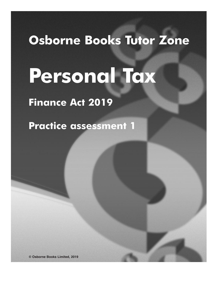## **Osborne Books Tutor Zone**

# **Personal Tax**

### **Finance Act 2019**

**Practice assessment 1**

**© Osborne Books Limited, 2019**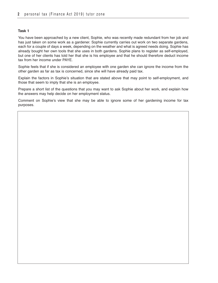You have been approached by a new client, Sophie, who was recently made redundant from her job and has just taken on some work as a gardener. Sophie currently carries out work on two separate gardens, each for a couple of days a week, depending on the weather and what is agreed needs doing. Sophie has already bought her own tools that she uses in both gardens. Sophie plans to register as self-employed, but one of her clients has told her that she is his employee and that he should therefore deduct income tax from her income under PAYE.

Sophie feels that if she is considered an employee with one garden she can ignore the income from the other garden as far as tax is concerned, since she will have already paid tax.

Explain the factors in Sophie's situation that are stated above that may point to self-employment, and those that seem to imply that she is an employee.

Prepare a short list of the questions that you may want to ask Sophie about her work, and explain how the answers may help decide on her employment status.

Comment on Sophie's view that she may be able to ignore some of her gardening income for tax purposes.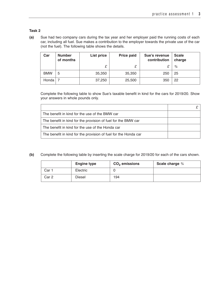**(a)** Sue had two company cars during the tax year and her employer paid the running costs of each car, including all fuel. Sue makes a contribution to the employer towards the private use of the car (not the fuel). The following table shows the details.

| Car        | <b>Number</b><br>of months | List price | <b>Price paid</b> | Sue's revenue<br>contribution | <b>Scale</b><br>charge |
|------------|----------------------------|------------|-------------------|-------------------------------|------------------------|
|            |                            | £          | £                 |                               | %                      |
| <b>BMW</b> | 5                          | 35,350     | 35,350            | 250                           | 25                     |
| Honda      |                            | 37,250     | 25,500            | 350                           | 22                     |

Complete the following table to show Sue's taxable benefit in kind for the cars for 2019/20. Show your answers in whole pounds only.

| The benefit in kind for the use of the BMW car                  |  |
|-----------------------------------------------------------------|--|
| The benefit in kind for the provision of fuel for the BMW car   |  |
| The benefit in kind for the use of the Honda car                |  |
| The benefit in kind for the provision of fuel for the Honda car |  |

**(b)** Complete the following table by inserting the scale charge for 2019/20 for each of the cars shown.

|       | <b>Engine type</b> | $CO2$ emissions | Scale charge % |
|-------|--------------------|-----------------|----------------|
| Car 1 | Electric           | U               |                |
| Car 2 | <b>Diesel</b>      | 194             |                |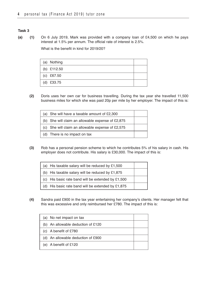**(a) (1)** On 6 July 2019, Mark was provided with a company loan of £4,500 on which he pays interest at 1.5% per annum. The official rate of interest is 2.5%.

What is the benefit in kind for 2019/20?

| (a) Nothing  |  |
|--------------|--|
| (b) £112.50  |  |
| (c) $£67.50$ |  |
| (d) $£33.75$ |  |

**(2)** Doris uses her own car for business travelling. During the tax year she travelled 11,500 business miles for which she was paid 20p per mile by her employer. The impact of this is:

| (a) She will have a taxable amount of $£2,300$      |  |
|-----------------------------------------------------|--|
| (b) She will claim an allowable expense of $£2,875$ |  |
| (c) She will claim an allowable expense of $£2,575$ |  |
| (d) There is no impact on tax                       |  |

**(3)** Rob has a personal pension scheme to which he contributes 5% of his salary in cash. His employer does not contribute. His salary is £30,000. The impact of this is:

| (a) His taxable salary will be reduced by $£1,500$   |  |
|------------------------------------------------------|--|
| (b) His taxable salary will be reduced by £1,875     |  |
| (c) His basic rate band will be extended by $£1,500$ |  |
| (d) His basic rate band will be extended by $£1,875$ |  |

**(4)** Sandra paid £900 in the tax year entertaining her company's clients. Her manager felt that this was excessive and only reimbursed her £780. The impact of this is:

| (a) No net impact on tax             |  |
|--------------------------------------|--|
| (b) An allowable deduction of $£120$ |  |
| (c) A benefit of £780                |  |
| (d) An allowable deduction of £900   |  |
| (e) A benefit of $£120$              |  |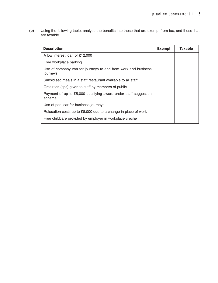**(b)** Using the following table, analyse the benefits into those that are exempt from tax, and those that are taxable.

| <b>Description</b>                                                        | <b>Exempt</b> | <b>Taxable</b> |
|---------------------------------------------------------------------------|---------------|----------------|
| A low interest loan of £12,000                                            |               |                |
| Free workplace parking                                                    |               |                |
| Use of company van for journeys to and from work and business<br>journeys |               |                |
| Subsidised meals in a staff restaurant available to all staff             |               |                |
| Gratuities (tips) given to staff by members of public                     |               |                |
| Payment of up to £5,000 qualifying award under staff suggestion<br>scheme |               |                |
| Use of pool car for business journeys                                     |               |                |
| Relocation costs up to £8,000 due to a change in place of work            |               |                |
| Free childcare provided by employer in workplace creche                   |               |                |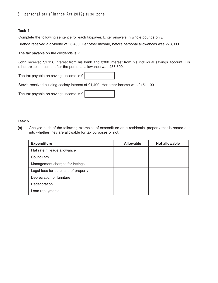Complete the following sentence for each taxpayer. Enter answers in whole pounds only.

Brenda received a dividend of £6,400. Her other income, before personal allowances was £78,000.

The tax payable on the dividends is £

John received £1,150 interest from his bank and £360 interest from his individual savings account. His other taxable income, after the personal allowance was £36,500.

The tax payable on savings income is £

Stevie received building society interest of £1,400. Her other income was £151,100.

The tax payable on savings income is £

| . .<br>۰.<br>×<br>M. | ۰. |
|----------------------|----|
|----------------------|----|

**(a)** Analyse each of the following examples of expenditure on a residential property that is rented out into whether they are allowable for tax purposes or not.

| <b>Expenditure</b>                  | <b>Allowable</b> | Not allowable |
|-------------------------------------|------------------|---------------|
| Flat rate mileage allowance         |                  |               |
| Council tax                         |                  |               |
| Management charges for lettings     |                  |               |
| Legal fees for purchase of property |                  |               |
| Depreciation of furniture           |                  |               |
| Redecoration                        |                  |               |
| Loan repayments                     |                  |               |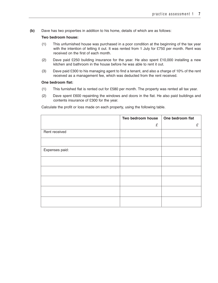**(b)** Dave has two properties in addition to his home, details of which are as follows:

#### **Two bedroom house:**

- (1) This unfurnished house was purchased in a poor condition at the beginning of the tax year with the intention of letting it out. It was rented from 1 July for £750 per month. Rent was received on the first of each month.
- (2) Dave paid £250 building insurance for the year. He also spent £10,000 installing a new kitchen and bathroom in the house before he was able to rent it out.
- (3) Dave paid £300 to his managing agent to find a tenant, and also a charge of 10% of the rent received as a management fee, which was deducted from the rent received.

#### **One bedroom flat:**

- (1) This furnished flat is rented out for £580 per month. The property was rented all tax year.
- (2) Dave spent £600 repainting the windows and doors in the flat. He also paid buildings and contents insurance of £300 for the year.

 **Two** bedroom house **One** bedroom flat  *£ £* Rent received Expenses paid:

Calculate the profit or loss made on each property, using the following table.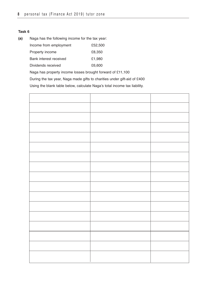**(a)** Naga has the following income for the tax year:

| Income from employment | £52,500 |
|------------------------|---------|
| Property income        | £8,350  |
| Bank interest received | £1.980  |
| Dividends received     | £6,600  |

Naga has property income losses brought forward of £11,100

During the tax year, Naga made gifts to charities under gift-aid of £400

Using the blank table below, calculate Naga's total income tax liability.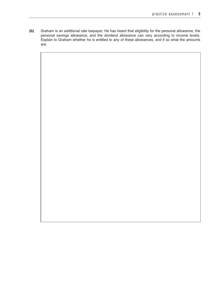**(b)** Graham is an additional rate taxpayer. He has heard that eligibility for the personal allowance, the personal savings allowance, and the dividend allowance can vary according to income levels. Explain to Graham whether he is entitled to any of these allowances, and if so what the amounts are.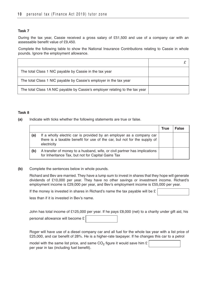During the tax year, Cassie received a gross salary of £51,500 and use of a company car with an assessable benefit value of £9,450.

Complete the following table to show the National Insurance Contributions relating to Cassie in whole pounds. Ignore the employment allowance.

| The total Class 1 NIC payable by Cassie in the tax year                      |  |
|------------------------------------------------------------------------------|--|
| The total Class 1 NIC payable by Cassie's employer in the tax year           |  |
| The total Class 1A NIC payable by Cassie's employer relating to the tax year |  |

#### **Task 8**

**(a)** Indicate with ticks whether the following statements are true or false.

|     |                                                                                                                                                                 | <b>True</b> | <b>False</b> |
|-----|-----------------------------------------------------------------------------------------------------------------------------------------------------------------|-------------|--------------|
| (a) | If a wholly electric car is provided by an employer as a company car<br>there is a taxable benefit for use of the car, but not for the supply of<br>electricity |             |              |
| (b) | A transfer of money to a husband, wife, or civil partner has implications<br>for Inheritance Tax, but not for Capital Gains Tax                                 |             |              |

#### **(b)** Complete the sentences below in whole pounds.

Richard and Bev are married. They have a lump sum to invest in shares that they hope will generate dividends of £10,000 per year. They have no other savings or investment income. Richard's employment income is £29,000 per year, and Bev's employment income is £55,000 per year.

If the money is invested in shares in Richard's name the tax payable will be  $E$ 

less than if it is invested in Bev's name.

| John has total income of £125,000 per year. If he pays £8,000 (net) to a charity under gift aid, his |  |  |
|------------------------------------------------------------------------------------------------------|--|--|
| personal allowance will become $\mathfrak{L}$                                                        |  |  |

Roger will have use of a diesel company car and all fuel for the whole tax year with a list price of £25,000, and car benefit of 28%. He is a higher-rate taxpayer. If he changes this car to a petrol

model with the same list price, and same  $CO<sub>2</sub>$  figure it would save him £ per year in tax (including fuel benefit).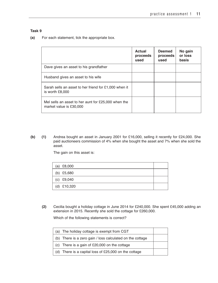**(a)** For each statement, tick the appropriate box.

|                                                                                | <b>Actual</b><br>proceeds<br>used | <b>Deemed</b><br>proceeds<br>used | No gain<br>or loss<br>basis |
|--------------------------------------------------------------------------------|-----------------------------------|-----------------------------------|-----------------------------|
| Dave gives an asset to his grandfather                                         |                                   |                                   |                             |
| Husband gives an asset to his wife                                             |                                   |                                   |                             |
| Sarah sells an asset to her friend for £1,000 when it<br>is worth £8,000       |                                   |                                   |                             |
| Mel sells an asset to her aunt for £25,000 when the<br>market value is £30,000 |                                   |                                   |                             |

**(b) (1)** Andrea bought an asset in January 2001 for £16,000, selling it recently for £24,000. She paid auctioneers commission of 4% when she bought the asset and 7% when she sold the asset.

The gain on this asset is:

| (a) $£8,000$  |  |
|---------------|--|
| (b) $£5,680$  |  |
| (c) $£9,040$  |  |
| (d) $£10,320$ |  |

**(2)** Cecilia bought a holiday cottage in June 2014 for £240,000. She spent £45,000 adding an extension in 2015. Recently she sold the cottage for £260,000.

Which of the following statements is correct?

| (a) The holiday cottage is exempt from CGT                |  |
|-----------------------------------------------------------|--|
| (b) There is a zero gain / loss calculated on the cottage |  |
| (c) There is a gain of £20,000 on the cottage             |  |
| (d) There is a capital loss of $£25,000$ on the cottage   |  |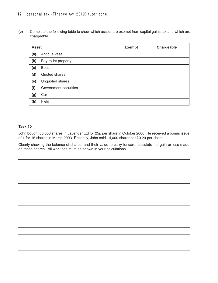**(c)** Complete the following table to show which assets are exempt from capital gains tax and which are chargeable.

| <b>Asset</b> |                       | <b>Exempt</b> | Chargeable |
|--------------|-----------------------|---------------|------------|
| (a)          | Antique vase          |               |            |
| (b)          | Buy-to-let property   |               |            |
| (c)          | Boat                  |               |            |
| (d)          | Quoted shares         |               |            |
| (e)          | Unquoted shares       |               |            |
| (f)          | Government securities |               |            |
| (g)          | Car                   |               |            |
| (h)          | Field                 |               |            |

#### **Task 10**

John bought 60,000 shares in Lavender Ltd for 25p per share in October 2000. He received a bonus issue of 1 for 15 shares in March 2003. Recently, John sold 14,000 shares for £0.20 per share.

Clearly showing the balance of shares, and their value to carry forward, calculate the gain or loss made on these shares. All workings must be shown in your calculations.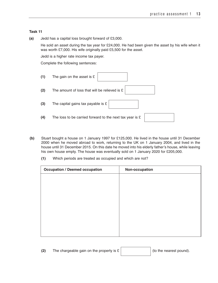**(a)** Jedd has a capital loss brought forward of £3,000.

He sold an asset during the tax year for £24,000. He had been given the asset by his wife when it was worth £7,000. His wife originally paid £5,500 for the asset.

Jedd is a higher rate income tax payer.

Complete the following sentences:

| (1) | The gain on the asset is $E$                               |
|-----|------------------------------------------------------------|
| (2) | The amount of loss that will be relieved is £              |
| (3) | The capital gains tax payable is £                         |
| (4) | The loss to be carried forward to the next tax year is $E$ |

- **(b)** Stuart bought a house on 1 January 1997 for £125,000. He lived in the house until 31 December 2000 when he moved abroad to work, returning to the UK on 1 January 2004, and lived in the house until 31 December 2015. On this date he moved into his elderly father's house, while leaving his own house empty. The house was eventually sold on 1 January 2020 for £205,000.
	- **(1)** Which periods are treated as occupied and which are not?

| <b>Occupation / Deemed occupation</b> | Non-occupation |
|---------------------------------------|----------------|
|                                       |                |
|                                       |                |
|                                       |                |
|                                       |                |
|                                       |                |
|                                       |                |
|                                       |                |
|                                       |                |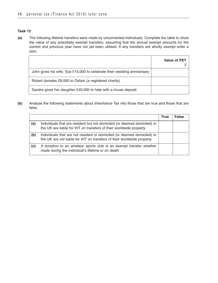**(a)** The following lifetime transfers were made by unconnected individuals. Complete the table to show the value of any potentially exempt transfers, assuming that the annual exempt amounts for the current and previous year have not yet been utilised. If any transfers are wholly exempt enter a zero.

|                                                                         | <b>Value of PET</b> |
|-------------------------------------------------------------------------|---------------------|
| John gives his wife, Sue £15,000 to celebrate their wedding anniversary |                     |
| Robert donates £8,000 to Oxfam (a registered charity)                   |                     |
| Sandra gives her daughter £40,000 to help with a house deposit          |                     |

**(b)** Analyse the following statements about Inheritance Tax into those that are true and those that are false.

|     |                                                                                                                                                   | <b>True</b> | <b>False</b> |
|-----|---------------------------------------------------------------------------------------------------------------------------------------------------|-------------|--------------|
| (a) | Individuals that are resident but not domiciled (or deemed domiciled) in<br>the UK are liable for IHT on transfers of their worldwide property    |             |              |
| (b) | Individuals that are not resident or domiciled (or deemed domiciled) in<br>the UK are not liable for IHT on transfers of their worldwide property |             |              |
| (c) | A donation to an amateur sports club is an exempt transfer whether<br>made during the individual's lifetime or on death                           |             |              |